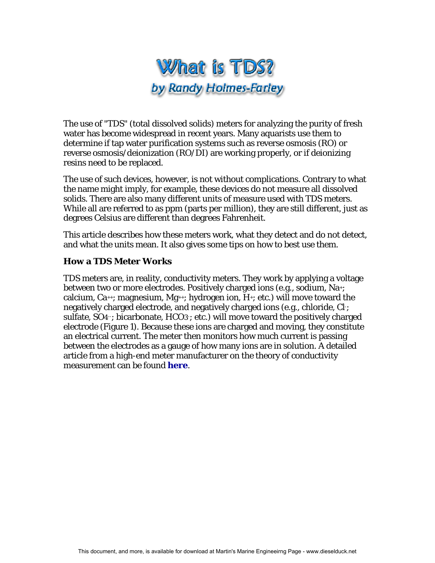

The use of "TDS" (total dissolved solids) meters for analyzing the purity of fresh water has become widespread in recent years. Many aquarists use them to determine if tap water purification systems such as reverse osmosis (RO) or reverse osmosis/deionization (RO/DI) are working properly, or if deionizing resins need to be replaced.

The use of such devices, however, is not without complications. Contrary to what the name might imply, for example, these devices do not measure all dissolved solids. There are also many different units of measure used with TDS meters. While all are referred to as ppm (parts per million), they are still different, just as degrees Celsius are different than degrees Fahrenheit.

This article describes how these meters work, what they detect and do not detect, and what the units mean. It also gives some tips on how to best use them.

## **How a TDS Meter Works**

TDS meters are, in reality, conductivity meters. They work by applying a voltage between two or more electrodes. Positively charged ions (e.g., sodium, Na+; calcium,  $Ca^{++}$ ; magnesium,  $Mg^{++}$ ; hydrogen ion, H $+$ ; etc.) will move toward the negatively charged electrode, and negatively charged ions (e.g., chloride, Cl- ; sulfate, SO4-; bicarbonate, HCO3-; etc.) will move toward the positively charged electrode (Figure 1). Because these ions are charged and moving, they constitute an electrical current. The meter then monitors how much current is passing between the electrodes as a gauge of how many ions are in solution. A detailed article from a high-end meter manufacturer on the theory of conductivity measurement can be found **[here](http://www.thermo.com/eThermo/CMA/PDFs/Articles/articlesFile_11377.pdf)**.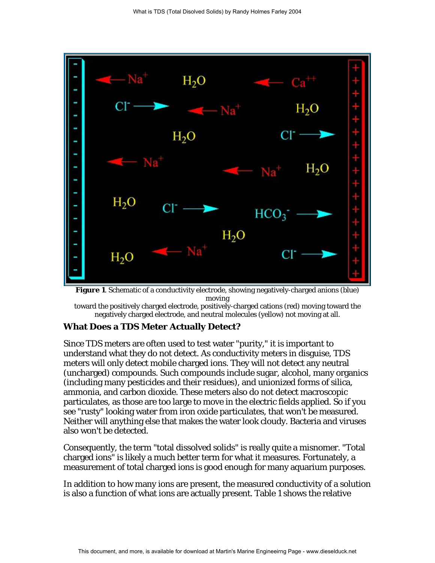

**Figure 1**. Schematic of a conductivity electrode, showing negatively-charged anions (blue) moving

toward the positively charged electrode, positively-charged cations (red) moving toward the negatively charged electrode, and neutral molecules (yellow) not moving at all.

## **What Does a TDS Meter Actually Detect?**

Since TDS meters are often used to test water "purity," it is important to understand what they do not detect. As conductivity meters in disguise, TDS meters will only detect mobile charged ions. They will not detect any neutral (uncharged) compounds. Such compounds include sugar, alcohol, many organics (including many pesticides and their residues), and unionized forms of silica, ammonia, and carbon dioxide. These meters also do not detect macroscopic particulates, as those are too large to move in the electric fields applied. So if you see "rusty" looking water from iron oxide particulates, that won't be measured. Neither will anything else that makes the water look cloudy. Bacteria and viruses also won't be detected.

Consequently, the term "total dissolved solids" is really quite a misnomer. "Total charged ions" is likely a much better term for what it measures. Fortunately, a measurement of total charged ions is good enough for many aquarium purposes.

In addition to how many ions are present, the measured conductivity of a solution is also a function of what ions are actually present. Table 1 shows the relative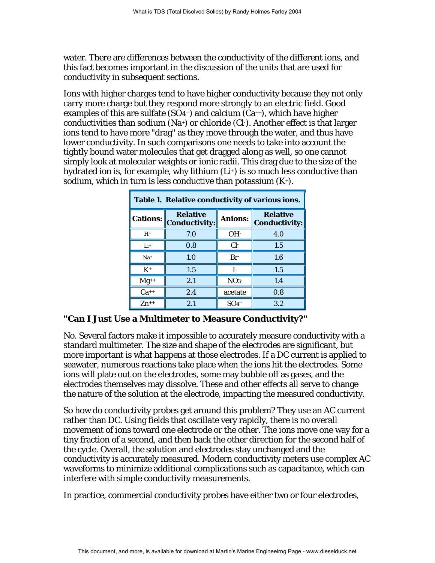water. There are differences between the conductivity of the different ions, and this fact becomes important in the discussion of the units that are used for conductivity in subsequent sections.

Ions with higher charges tend to have higher conductivity because they not only carry more charge but they respond more strongly to an electric field. Good examples of this are sulfate (SO4-) and calcium  $(Ca^{+})$ , which have higher conductivities than sodium (Na+) or chloride (Cl- ). Another effect is that larger ions tend to have more "drag" as they move through the water, and thus have lower conductivity. In such comparisons one needs to take into account the tightly bound water molecules that get dragged along as well, so one cannot simply look at molecular weights or ionic radii. This drag due to the size of the hydrated ion is, for example, why lithium (Li+) is so much less conductive than sodium, which in turn is less conductive than potassium  $(K<sup>+</sup>)$ .

| Table 1. Relative conductivity of various ions. |                                         |                                                           |     |  |  |  |
|-------------------------------------------------|-----------------------------------------|-----------------------------------------------------------|-----|--|--|--|
| <b>Cations:</b>                                 | <b>Relative</b><br><b>Conductivity:</b> | <b>Relative</b><br><b>Anions:</b><br><b>Conductivity:</b> |     |  |  |  |
| $H^+$                                           | 7.0                                     | OH <sup>2</sup>                                           | 4.0 |  |  |  |
| $Li+$                                           | 0.8                                     | $Cl+$                                                     | 1.5 |  |  |  |
| $Na+$                                           | 1.0                                     | $Br^-$                                                    | 1.6 |  |  |  |
| $K^+$                                           | 1.5                                     | Ŀ                                                         | 1.5 |  |  |  |
| $Mg^{++}$                                       | 2.1                                     | NO <sub>3</sub>                                           | 1.4 |  |  |  |
| $Ca^{++}$                                       | 2.4                                     | acetate                                                   | 0.8 |  |  |  |
| $Zn^{++}$                                       | 2.1                                     | SO <sub>4</sub>                                           | 3.2 |  |  |  |

#### **"Can I Just Use a Multimeter to Measure Conductivity?"**

No. Several factors make it impossible to accurately measure conductivity with a standard multimeter. The size and shape of the electrodes are significant, but more important is what happens at those electrodes. If a DC current is applied to seawater, numerous reactions take place when the ions hit the electrodes. Some ions will plate out on the electrodes, some may bubble off as gases, and the electrodes themselves may dissolve. These and other effects all serve to change the nature of the solution at the electrode, impacting the measured conductivity.

So how do conductivity probes get around this problem? They use an AC current rather than DC. Using fields that oscillate very rapidly, there is no overall movement of ions toward one electrode or the other. The ions move one way for a tiny fraction of a second, and then back the other direction for the second half of the cycle. Overall, the solution and electrodes stay unchanged and the conductivity is accurately measured. Modern conductivity meters use complex AC waveforms to minimize additional complications such as capacitance, which can interfere with simple conductivity measurements.

In practice, commercial conductivity probes have either two or four electrodes,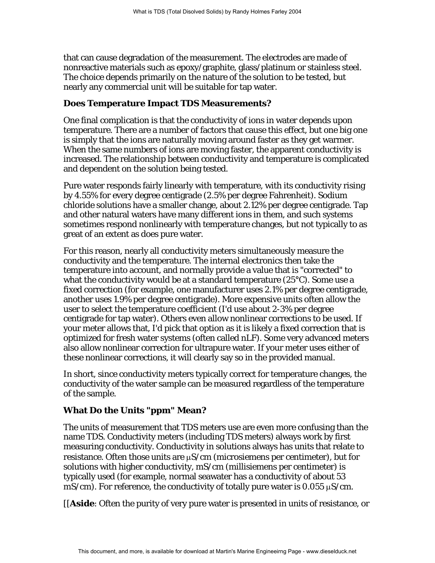that can cause degradation of the measurement. The electrodes are made of nonreactive materials such as epoxy/graphite, glass/platinum or stainless steel. The choice depends primarily on the nature of the solution to be tested, but nearly any commercial unit will be suitable for tap water.

#### **Does Temperature Impact TDS Measurements?**

One final complication is that the conductivity of ions in water depends upon temperature. There are a number of factors that cause this effect, but one big one is simply that the ions are naturally moving around faster as they get warmer. When the same numbers of ions are moving faster, the apparent conductivity is increased. The relationship between conductivity and temperature is complicated and dependent on the solution being tested.

Pure water responds fairly linearly with temperature, with its conductivity rising by 4.55% for every degree centigrade (2.5% per degree Fahrenheit). Sodium chloride solutions have a smaller change, about 2.12% per degree centigrade. Tap and other natural waters have many different ions in them, and such systems sometimes respond nonlinearly with temperature changes, but not typically to as great of an extent as does pure water.

For this reason, nearly all conductivity meters simultaneously measure the conductivity and the temperature. The internal electronics then take the temperature into account, and normally provide a value that is "corrected" to what the conductivity would be at a standard temperature (25°C). Some use a fixed correction (for example, one manufacturer uses 2.1% per degree centigrade, another uses 1.9% per degree centigrade). More expensive units often allow the user to select the temperature coefficient (I'd use about 2-3% per degree centigrade for tap water). Others even allow nonlinear corrections to be used. If your meter allows that, I'd pick that option as it is likely a fixed correction that is optimized for fresh water systems (often called nLF). Some very advanced meters also allow nonlinear correction for ultrapure water. If your meter uses either of these nonlinear corrections, it will clearly say so in the provided manual.

In short, since conductivity meters typically correct for temperature changes, the conductivity of the water sample can be measured regardless of the temperature of the sample.

### **What Do the Units "ppm" Mean?**

The units of measurement that TDS meters use are even more confusing than the name TDS. Conductivity meters (including TDS meters) always work by first measuring conductivity. Conductivity in solutions always has units that relate to resistance. Often those units are  $\mu$ S/cm (microsiemens per centimeter), but for solutions with higher conductivity, mS/cm (millisiemens per centimeter) is typically used (for example, normal seawater has a conductivity of about 53 mS/cm). For reference, the conductivity of totally pure water is  $0.055 \mu S/cm$ .

[[*Aside*: Often the purity of very pure water is presented in units of resistance, or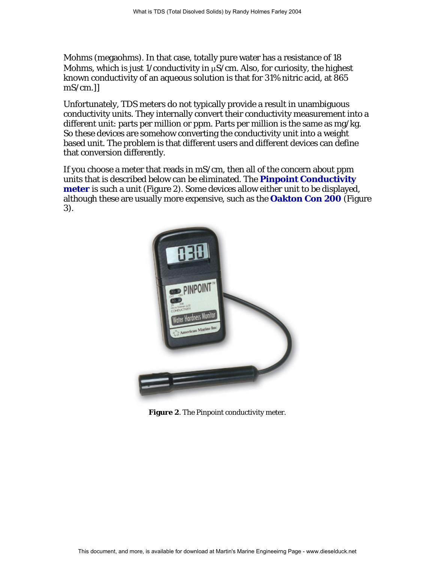Mohms (megaohms). In that case, totally pure water has a resistance of 18 Mohms, which is just 1/conductivity in  $\mu$ S/cm. Also, for curiosity, the highest known conductivity of an aqueous solution is that for 31% nitric acid, at 865 mS/cm.]]

Unfortunately, TDS meters do not typically provide a result in unambiguous conductivity units. They internally convert their conductivity measurement into a different unit: parts per million or ppm. Parts per million is the same as mg/kg. So these devices are somehow converting the conductivity unit into a weight based unit. The problem is that different users and different devices can define that conversion differently.

If you choose a meter that reads in mS/cm, then all of the concern about ppm units that is described below can be eliminated. The **[Pinpoint Conductivity](http://www.americanmarineusa.com/conductivityfacts.html)  [meter](http://www.americanmarineusa.com/conductivityfacts.html)** is such a unit (Figure 2). Some devices allow either unit to be displayed, although these are usually more expensive, such as the **[Oakton Con 200](http://www.4oakton.com/proddetail.asp?parent=52&prod=67&seq=5&TotRec=11)** (Figure 3).



**Figure 2**. The Pinpoint conductivity meter.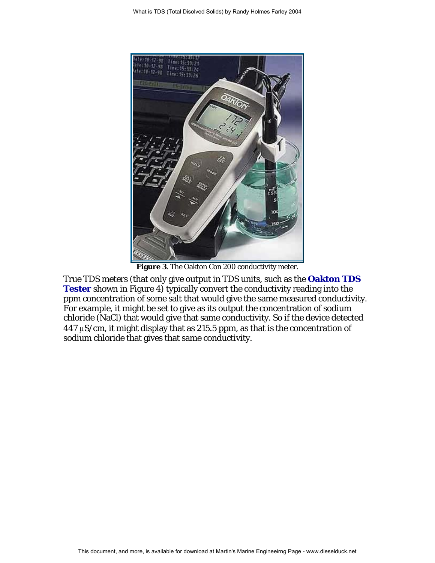

**Figure 3**. The Oakton Con 200 conductivity meter.

True TDS meters (that only give output in TDS units, such as the **[Oakton TDS](http://www.4oakton.com/proddetail.asp?parent=51&prod=199&seq=1&TotRec=8)  [Tester](http://www.4oakton.com/proddetail.asp?parent=51&prod=199&seq=1&TotRec=8)** shown in Figure 4) typically convert the conductivity reading into the ppm concentration of some salt that would give the same measured conductivity. For example, it might be set to give as its output the concentration of sodium chloride (NaCl) that would give that same conductivity. So if the device detected  $447 \mu$ S/cm, it might display that as 215.5 ppm, as that is the concentration of sodium chloride that gives that same conductivity.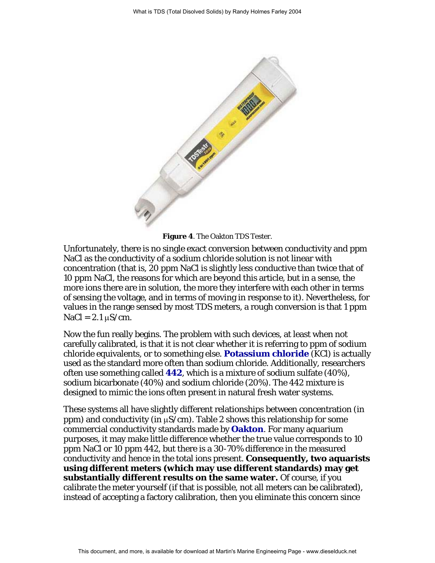

**Figure 4**. The Oakton TDS Tester.

Unfortunately, there is no single exact conversion between conductivity and ppm NaCl as the conductivity of a sodium chloride solution is not linear with concentration (that is, 20 ppm NaCl is slightly less conductive than twice that of 10 ppm NaCl, the reasons for which are beyond this article, but in a sense, the more ions there are in solution, the more they interfere with each other in terms of sensing the voltage, and in terms of moving in response to it). Nevertheless, for values in the range sensed by most TDS meters, a rough conversion is that 1 ppm  $NaCl = 2.1 \mu S/cm$ .

Now the fun really begins. The problem with such devices, at least when not carefully calibrated, is that it is not clear whether it is referring to ppm of sodium chloride equivalents, or to something else. **[Potassium chloride](http://store.elecdata.com/calitech/conductivity.aspx)** (KCl) is actually used as the standard more often than sodium chloride. Additionally, researchers often use something called **[442](http://store.elecdata.com/calitech/442.aspx)**, which is a mixture of sodium sulfate (40%), sodium bicarbonate (40%) and sodium chloride (20%). The 442 mixture is designed to mimic the ions often present in natural fresh water systems.

These systems all have slightly different relationships between concentration (in ppm) and conductivity (in  $\mu$ S/cm). Table 2 shows this relationship for some commercial conductivity standards made by **[Oakton](http://www.4oakton.com/Con_to_TDS.htm)**. For many aquarium purposes, it may make little difference whether the true value corresponds to 10 ppm NaCl or 10 ppm 442, but there is a 30-70% difference in the measured conductivity and hence in the total ions present. **Consequently, two aquarists using different meters (which may use different standards) may get substantially different results on the same water.** Of course, if you calibrate the meter yourself (if that is possible, not all meters can be calibrated), instead of accepting a factory calibration, then you eliminate this concern since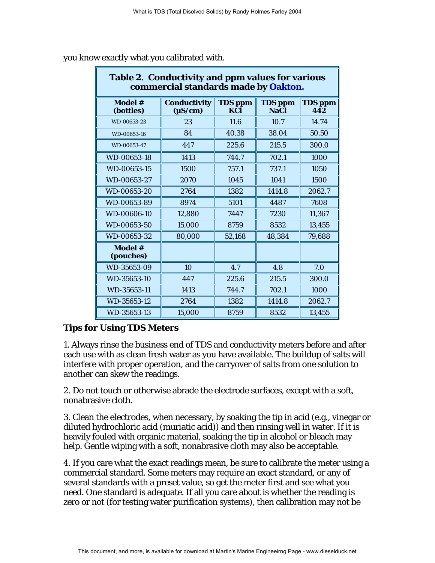| Table 2. Conductivity and ppm values for various<br>commercial standards made by Oakton. |                                     |                       |                               |                       |  |  |
|------------------------------------------------------------------------------------------|-------------------------------------|-----------------------|-------------------------------|-----------------------|--|--|
| Model #<br>(bottles)                                                                     | <b>Conductivity</b><br>$(\mu S/cm)$ | <b>TDS</b> ppm<br>KCl | <b>TDS</b> ppm<br><b>NaCl</b> | <b>TDS</b> ppm<br>442 |  |  |
| WD-00653-23                                                                              | 23                                  | 11.6                  | 10.7                          | 14.74                 |  |  |
| WD-00653-16                                                                              | 84                                  | 40.38                 | 38.04                         | 50.50                 |  |  |
| WD-00653-47                                                                              | 447                                 | 225.6                 | 215.5                         | 300.0                 |  |  |
| WD-00653-18                                                                              | 1413                                | 744.7                 | 702.1                         | 1000                  |  |  |
| WD-00653-15                                                                              | 1500                                | 757.1                 | 737.1                         | 1050                  |  |  |
| WD-00653-27                                                                              | 2070                                | 1045                  | 1041                          | 1500                  |  |  |
| WD-00653-20                                                                              | 2764                                | 1382                  | 1414.8                        | 2062.7                |  |  |
| WD-00653-89                                                                              | 8974                                | 5101                  | 4487                          | 7608                  |  |  |
| WD-00606-10                                                                              | 12,880                              | 7447                  | 7230                          | 11,367                |  |  |
| WD-00653-50                                                                              | 15,000                              | 8759                  | 8532                          | 13,455                |  |  |
| WD-00653-32                                                                              | 80,000                              | 52,168                | 48,384                        | 79,688                |  |  |
| Model #<br>(pouches)                                                                     |                                     |                       |                               |                       |  |  |
| WD-35653-09                                                                              | 10                                  | 4.7                   | 4.8                           | 7.0                   |  |  |
| WD-35653-10                                                                              | 447                                 | 225.6                 | 215.5                         | 300.0                 |  |  |
| WD-35653-11                                                                              | 1413                                | 744.7                 | 702.1                         | 1000                  |  |  |
| WD-35653-12                                                                              | 2764                                | 1382                  | 1414.8                        | 2062.7                |  |  |
| WD-35653-13                                                                              | 15,000                              | 8759                  | 8532                          | 13,455                |  |  |

you know exactly what you calibrated with.

# **Tips for Using TDS Meters**

1. Always rinse the business end of TDS and conductivity meters before and after each use with as clean fresh water as you have available. The buildup of salts will interfere with proper operation, and the carryover of salts from one solution to another can skew the readings.

2. Do not touch or otherwise abrade the electrode surfaces, except with a soft, nonabrasive cloth.

3. Clean the electrodes, when necessary, by soaking the tip in acid (e.g., vinegar or diluted hydrochloric acid (muriatic acid)) and then rinsing well in water. If it is heavily fouled with organic material, soaking the tip in alcohol or bleach may help. Gentle wiping with a soft, nonabrasive cloth may also be acceptable.

4. If you care what the exact readings mean, be sure to calibrate the meter using a commercial standard. Some meters may require an exact standard, or any of several standards with a preset value, so get the meter first and see what you need. One standard is adequate. If all you care about is whether the reading is zero or not (for testing water purification systems), then calibration may not be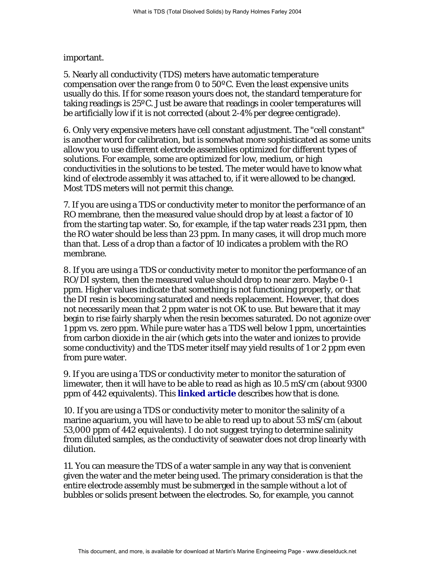important.

5. Nearly all conductivity (TDS) meters have automatic temperature compensation over the range from 0 to 50ºC. Even the least expensive units usually do this. If for some reason yours does not, the standard temperature for taking readings is 25ºC. Just be aware that readings in cooler temperatures will be artificially low if it is not corrected (about 2-4% per degree centigrade).

6. Only very expensive meters have cell constant adjustment. The "cell constant" is another word for calibration, but is somewhat more sophisticated as some units allow you to use different electrode assemblies optimized for different types of solutions. For example, some are optimized for low, medium, or high conductivities in the solutions to be tested. The meter would have to know what kind of electrode assembly it was attached to, if it were allowed to be changed. Most TDS meters will not permit this change.

7. If you are using a TDS or conductivity meter to monitor the performance of an RO membrane, then the measured value should drop by at least a factor of 10 from the starting tap water. So, for example, if the tap water reads 231 ppm, then the RO water should be less than 23 ppm. In many cases, it will drop much more than that. Less of a drop than a factor of 10 indicates a problem with the RO membrane.

8. If you are using a TDS or conductivity meter to monitor the performance of an RO/DI system, then the measured value should drop to near zero. Maybe 0-1 ppm. Higher values indicate that something is not functioning properly, or that the DI resin is becoming saturated and needs replacement. However, that does not necessarily mean that 2 ppm water is not OK to use. But beware that it may begin to rise fairly sharply when the resin becomes saturated. Do not agonize over 1 ppm vs. zero ppm. While pure water has a TDS well below 1 ppm, uncertainties from carbon dioxide in the air (which gets into the water and ionizes to provide some conductivity) and the TDS meter itself may yield results of 1 or 2 ppm even from pure water.

9. If you are using a TDS or conductivity meter to monitor the saturation of limewater, then it will have to be able to read as high as 10.5 mS/cm (about 9300 ppm of 442 equivalents). This **[linked article](http://reefkeeping.com/issues/2003-05/rhf/feature/index.htm)** describes how that is done.

10. If you are using a TDS or conductivity meter to monitor the salinity of a marine aquarium, you will have to be able to read up to about 53 mS/cm (about 53,000 ppm of 442 equivalents). I do not suggest trying to determine salinity from diluted samples, as the conductivity of seawater does not drop linearly with dilution.

11. You can measure the TDS of a water sample in any way that is convenient given the water and the meter being used. The primary consideration is that the entire electrode assembly must be submerged in the sample without a lot of bubbles or solids present between the electrodes. So, for example, you cannot